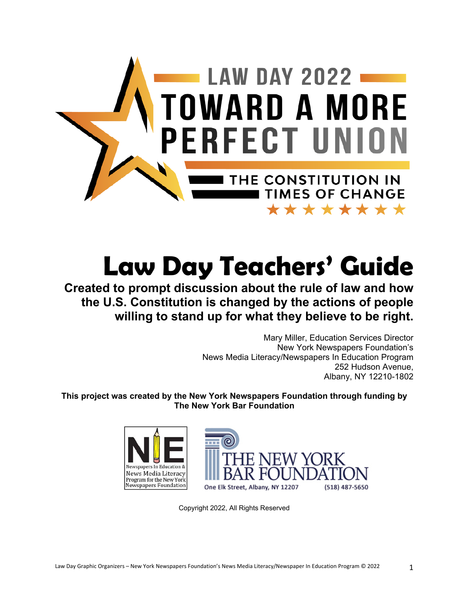

# **Law Day Teachers' Guide**

**Created to prompt discussion about the rule of law and how the U.S. Constitution is changed by the actions of people willing to stand up for what they believe to be right.** 

> Mary Miller, Education Services Director New York Newspapers Foundation's News Media Literacy/Newspapers In Education Program 252 Hudson Avenue, Albany, NY 12210-1802

**This project was created by the New York Newspapers Foundation through funding by The New York Bar Foundation** 





Copyright 2022, All Rights Reserved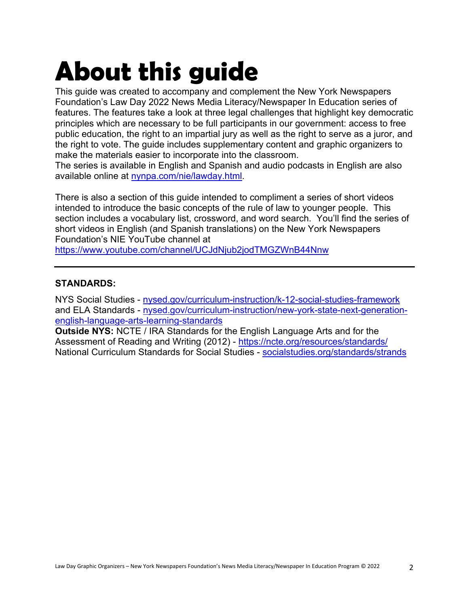# **About this guide**

This guide was created to accompany and complement the New York Newspapers Foundation's Law Day 2022 News Media Literacy/Newspaper In Education series of features. The features take a look at three legal challenges that highlight key democratic principles which are necessary to be full participants in our government: access to free public education, the right to an impartial jury as well as the right to serve as a juror, and the right to vote. The guide includes supplementary content and graphic organizers to make the materials easier to incorporate into the classroom.

The series is available in English and Spanish and audio podcasts in English are also available online at nynpa.com/nie/lawday.html.

There is also a section of this guide intended to compliment a series of short videos intended to introduce the basic concepts of the rule of law to younger people. This section includes a vocabulary list, crossword, and word search. You'll find the series of short videos in English (and Spanish translations) on the New York Newspapers Foundation's NIE YouTube channel at

https://www.youtube.com/channel/UCJdNjub2jodTMGZWnB44Nnw

#### **STANDARDS:**

NYS Social Studies - nysed.gov/curriculum-instruction/k-12-social-studies-framework and ELA Standards - nysed.gov/curriculum-instruction/new-york-state-next-generationenglish-language-arts-learning-standards

**Outside NYS:** NCTE / IRA Standards for the English Language Arts and for the Assessment of Reading and Writing (2012) - https://ncte.org/resources/standards/ National Curriculum Standards for Social Studies - socialstudies.org/standards/strands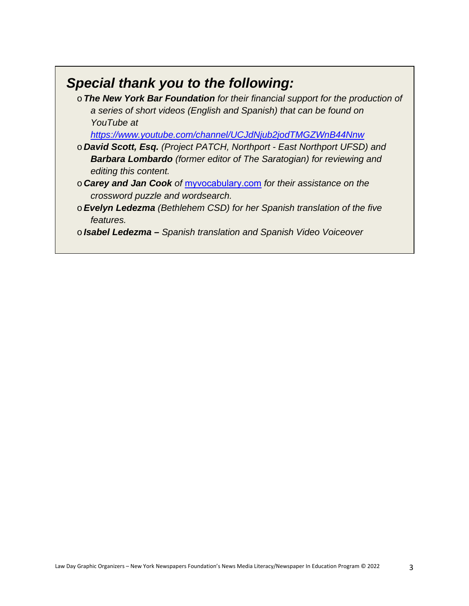#### *Special thank you to the following:*

o*The New York Bar Foundation for their financial support for the production of a series of short videos (English and Spanish) that can be found on YouTube at* 

*https://www.youtube.com/channel/UCJdNjub2jodTMGZWnB44Nnw*

- o *David Scott, Esq. (Project PATCH, Northport East Northport UFSD) and Barbara Lombardo (former editor of The Saratogian) for reviewing and editing this content.*
- o *Carey and Jan Cook of* myvocabulary.com *for their assistance on the crossword puzzle and wordsearch.*
- o*Evelyn Ledezma (Bethlehem CSD) for her Spanish translation of the five features.*
- o *Isabel Ledezma Spanish translation and Spanish Video Voiceover*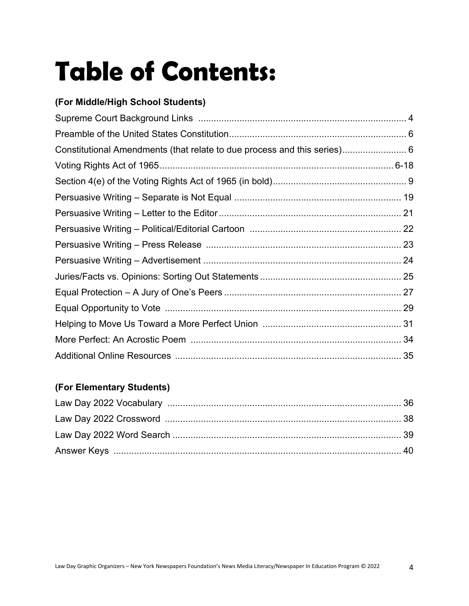# **Table of Contents:**

#### **(For Middle/High School Students)**

| Constitutional Amendments (that relate to due process and this series) 6 |  |
|--------------------------------------------------------------------------|--|
|                                                                          |  |
|                                                                          |  |
|                                                                          |  |
|                                                                          |  |
|                                                                          |  |
|                                                                          |  |
|                                                                          |  |
|                                                                          |  |
|                                                                          |  |
|                                                                          |  |
|                                                                          |  |
|                                                                          |  |
|                                                                          |  |

#### **(For Elementary Students)**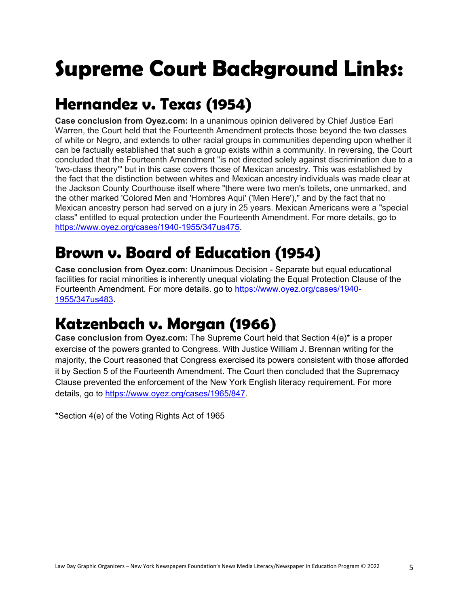# **Supreme Court Background Links:**

## **Hernandez v. Texas (1954)**

**Case conclusion from Oyez.com:** In a unanimous opinion delivered by Chief Justice Earl Warren, the Court held that the Fourteenth Amendment protects those beyond the two classes of white or Negro, and extends to other racial groups in communities depending upon whether it can be factually established that such a group exists within a community. In reversing, the Court concluded that the Fourteenth Amendment "is not directed solely against discrimination due to a 'two-class theory'" but in this case covers those of Mexican ancestry. This was established by the fact that the distinction between whites and Mexican ancestry individuals was made clear at the Jackson County Courthouse itself where "there were two men's toilets, one unmarked, and the other marked 'Colored Men and 'Hombres Aqui' ('Men Here')," and by the fact that no Mexican ancestry person had served on a jury in 25 years. Mexican Americans were a "special class" entitled to equal protection under the Fourteenth Amendment. For more details, go to https://www.oyez.org/cases/1940-1955/347us475.

### **Brown v. Board of Education (1954)**

**Case conclusion from Oyez.com:** Unanimous Decision - Separate but equal educational facilities for racial minorities is inherently unequal violating the Equal Protection Clause of the Fourteenth Amendment. For more details. go to https://www.oyez.org/cases/1940- 1955/347us483.

### **Katzenbach v. Morgan (1966)**

**Case conclusion from Oyez.com:** The Supreme Court held that Section 4(e)\* is a proper exercise of the powers granted to Congress. With Justice William J. Brennan writing for the majority, the Court reasoned that Congress exercised its powers consistent with those afforded it by Section 5 of the Fourteenth Amendment. The Court then concluded that the Supremacy Clause prevented the enforcement of the New York English literacy requirement. For more details, go to https://www.oyez.org/cases/1965/847.

\*Section 4(e) of the Voting Rights Act of 1965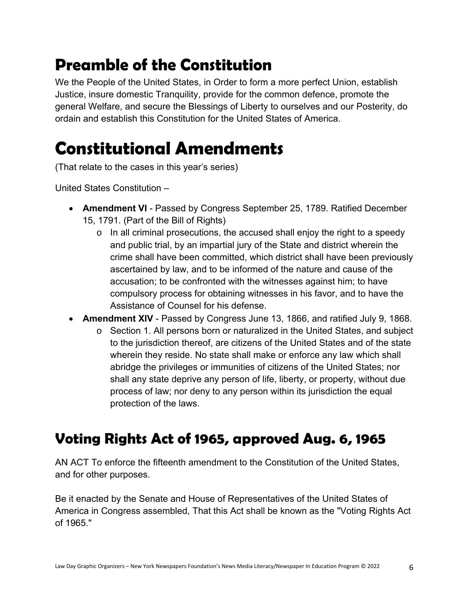### **Preamble of the Constitution**

We the People of the United States, in Order to form a more perfect Union, establish Justice, insure domestic Tranquility, provide for the common defence, promote the general Welfare, and secure the Blessings of Liberty to ourselves and our Posterity, do ordain and establish this Constitution for the United States of America.

# **Constitutional Amendments**

(That relate to the cases in this year's series)

United States Constitution –

- **Amendment VI** Passed by Congress September 25, 1789. Ratified December 15, 1791. (Part of the Bill of Rights)
	- $\circ$  In all criminal prosecutions, the accused shall enjoy the right to a speedy and public trial, by an impartial jury of the State and district wherein the crime shall have been committed, which district shall have been previously ascertained by law, and to be informed of the nature and cause of the accusation; to be confronted with the witnesses against him; to have compulsory process for obtaining witnesses in his favor, and to have the Assistance of Counsel for his defense.
- **Amendment XIV** Passed by Congress June 13, 1866, and ratified July 9, 1868.
	- o Section 1. All persons born or naturalized in the United States, and subject to the jurisdiction thereof, are citizens of the United States and of the state wherein they reside. No state shall make or enforce any law which shall abridge the privileges or immunities of citizens of the United States; nor shall any state deprive any person of life, liberty, or property, without due process of law; nor deny to any person within its jurisdiction the equal protection of the laws.

### **Voting Rights Act of 1965, approved Aug. 6, 1965**

AN ACT To enforce the fifteenth amendment to the Constitution of the United States, and for other purposes.

Be it enacted by the Senate and House of Representatives of the United States of America in Congress assembled, That this Act shall be known as the "Voting Rights Act of 1965."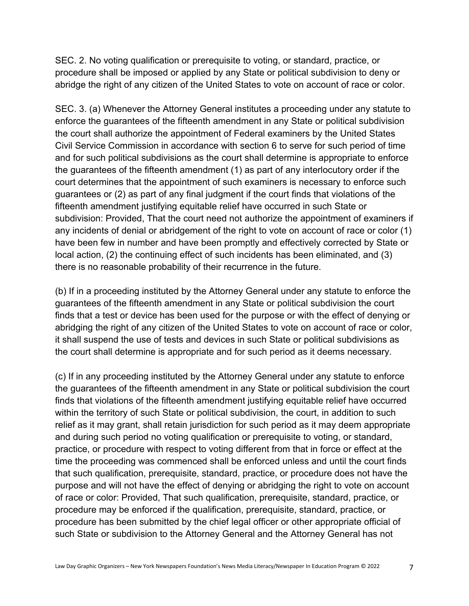SEC. 2. No voting qualification or prerequisite to voting, or standard, practice, or procedure shall be imposed or applied by any State or political subdivision to deny or abridge the right of any citizen of the United States to vote on account of race or color.

SEC. 3. (a) Whenever the Attorney General institutes a proceeding under any statute to enforce the guarantees of the fifteenth amendment in any State or political subdivision the court shall authorize the appointment of Federal examiners by the United States Civil Service Commission in accordance with section 6 to serve for such period of time and for such political subdivisions as the court shall determine is appropriate to enforce the guarantees of the fifteenth amendment (1) as part of any interlocutory order if the court determines that the appointment of such examiners is necessary to enforce such guarantees or (2) as part of any final judgment if the court finds that violations of the fifteenth amendment justifying equitable relief have occurred in such State or subdivision: Provided, That the court need not authorize the appointment of examiners if any incidents of denial or abridgement of the right to vote on account of race or color (1) have been few in number and have been promptly and effectively corrected by State or local action, (2) the continuing effect of such incidents has been eliminated, and (3) there is no reasonable probability of their recurrence in the future.

(b) If in a proceeding instituted by the Attorney General under any statute to enforce the guarantees of the fifteenth amendment in any State or political subdivision the court finds that a test or device has been used for the purpose or with the effect of denying or abridging the right of any citizen of the United States to vote on account of race or color, it shall suspend the use of tests and devices in such State or political subdivisions as the court shall determine is appropriate and for such period as it deems necessary.

(c) If in any proceeding instituted by the Attorney General under any statute to enforce the guarantees of the fifteenth amendment in any State or political subdivision the court finds that violations of the fifteenth amendment justifying equitable relief have occurred within the territory of such State or political subdivision, the court, in addition to such relief as it may grant, shall retain jurisdiction for such period as it may deem appropriate and during such period no voting qualification or prerequisite to voting, or standard, practice, or procedure with respect to voting different from that in force or effect at the time the proceeding was commenced shall be enforced unless and until the court finds that such qualification, prerequisite, standard, practice, or procedure does not have the purpose and will not have the effect of denying or abridging the right to vote on account of race or color: Provided, That such qualification, prerequisite, standard, practice, or procedure may be enforced if the qualification, prerequisite, standard, practice, or procedure has been submitted by the chief legal officer or other appropriate official of such State or subdivision to the Attorney General and the Attorney General has not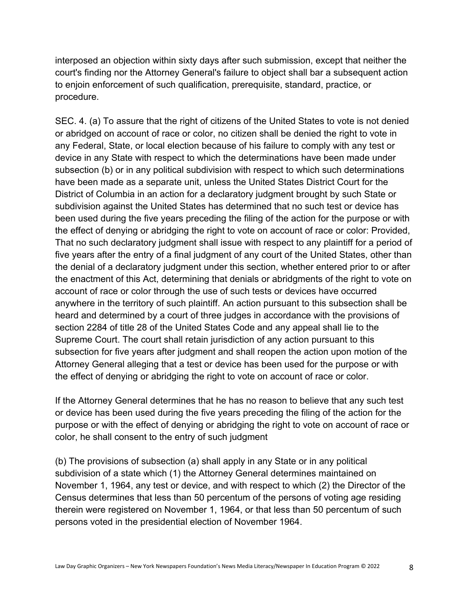interposed an objection within sixty days after such submission, except that neither the court's finding nor the Attorney General's failure to object shall bar a subsequent action to enjoin enforcement of such qualification, prerequisite, standard, practice, or procedure.

SEC. 4. (a) To assure that the right of citizens of the United States to vote is not denied or abridged on account of race or color, no citizen shall be denied the right to vote in any Federal, State, or local election because of his failure to comply with any test or device in any State with respect to which the determinations have been made under subsection (b) or in any political subdivision with respect to which such determinations have been made as a separate unit, unless the United States District Court for the District of Columbia in an action for a declaratory judgment brought by such State or subdivision against the United States has determined that no such test or device has been used during the five years preceding the filing of the action for the purpose or with the effect of denying or abridging the right to vote on account of race or color: Provided, That no such declaratory judgment shall issue with respect to any plaintiff for a period of five years after the entry of a final judgment of any court of the United States, other than the denial of a declaratory judgment under this section, whether entered prior to or after the enactment of this Act, determining that denials or abridgments of the right to vote on account of race or color through the use of such tests or devices have occurred anywhere in the territory of such plaintiff. An action pursuant to this subsection shall be heard and determined by a court of three judges in accordance with the provisions of section 2284 of title 28 of the United States Code and any appeal shall lie to the Supreme Court. The court shall retain jurisdiction of any action pursuant to this subsection for five years after judgment and shall reopen the action upon motion of the Attorney General alleging that a test or device has been used for the purpose or with the effect of denying or abridging the right to vote on account of race or color.

If the Attorney General determines that he has no reason to believe that any such test or device has been used during the five years preceding the filing of the action for the purpose or with the effect of denying or abridging the right to vote on account of race or color, he shall consent to the entry of such judgment

(b) The provisions of subsection (a) shall apply in any State or in any political subdivision of a state which (1) the Attorney General determines maintained on November 1, 1964, any test or device, and with respect to which (2) the Director of the Census determines that less than 50 percentum of the persons of voting age residing therein were registered on November 1, 1964, or that less than 50 percentum of such persons voted in the presidential election of November 1964.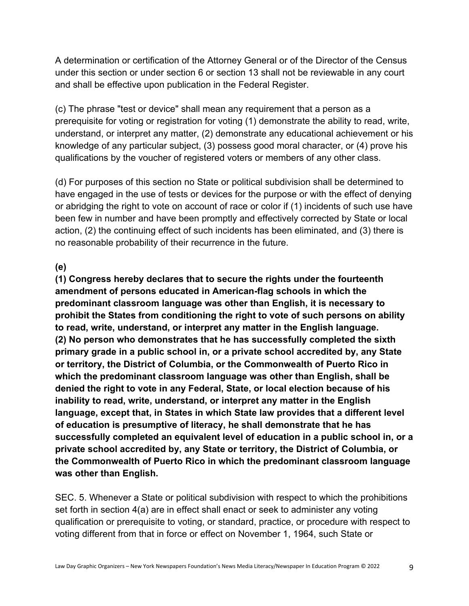A determination or certification of the Attorney General or of the Director of the Census under this section or under section 6 or section 13 shall not be reviewable in any court and shall be effective upon publication in the Federal Register.

(c) The phrase "test or device" shall mean any requirement that a person as a prerequisite for voting or registration for voting (1) demonstrate the ability to read, write, understand, or interpret any matter, (2) demonstrate any educational achievement or his knowledge of any particular subject, (3) possess good moral character, or (4) prove his qualifications by the voucher of registered voters or members of any other class.

(d) For purposes of this section no State or political subdivision shall be determined to have engaged in the use of tests or devices for the purpose or with the effect of denying or abridging the right to vote on account of race or color if (1) incidents of such use have been few in number and have been promptly and effectively corrected by State or local action, (2) the continuing effect of such incidents has been eliminated, and (3) there is no reasonable probability of their recurrence in the future.

#### **(e)**

**(1) Congress hereby declares that to secure the rights under the fourteenth amendment of persons educated in American-flag schools in which the predominant classroom language was other than English, it is necessary to prohibit the States from conditioning the right to vote of such persons on ability to read, write, understand, or interpret any matter in the English language. (2) No person who demonstrates that he has successfully completed the sixth primary grade in a public school in, or a private school accredited by, any State or territory, the District of Columbia, or the Commonwealth of Puerto Rico in which the predominant classroom language was other than English, shall be denied the right to vote in any Federal, State, or local election because of his inability to read, write, understand, or interpret any matter in the English language, except that, in States in which State law provides that a different level of education is presumptive of literacy, he shall demonstrate that he has successfully completed an equivalent level of education in a public school in, or a private school accredited by, any State or territory, the District of Columbia, or the Commonwealth of Puerto Rico in which the predominant classroom language was other than English.** 

SEC. 5. Whenever a State or political subdivision with respect to which the prohibitions set forth in section 4(a) are in effect shall enact or seek to administer any voting qualification or prerequisite to voting, or standard, practice, or procedure with respect to voting different from that in force or effect on November 1, 1964, such State or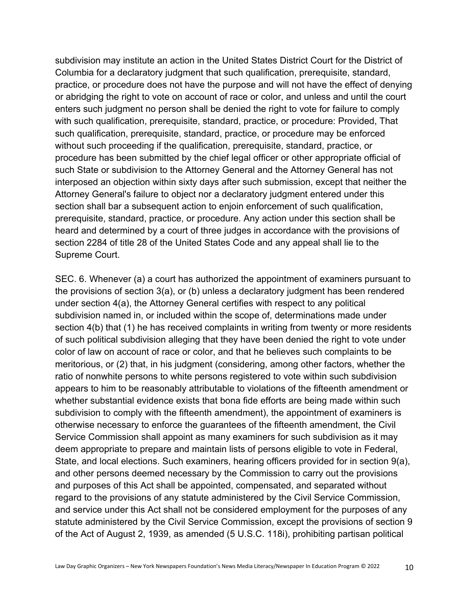subdivision may institute an action in the United States District Court for the District of Columbia for a declaratory judgment that such qualification, prerequisite, standard, practice, or procedure does not have the purpose and will not have the effect of denying or abridging the right to vote on account of race or color, and unless and until the court enters such judgment no person shall be denied the right to vote for failure to comply with such qualification, prerequisite, standard, practice, or procedure: Provided, That such qualification, prerequisite, standard, practice, or procedure may be enforced without such proceeding if the qualification, prerequisite, standard, practice, or procedure has been submitted by the chief legal officer or other appropriate official of such State or subdivision to the Attorney General and the Attorney General has not interposed an objection within sixty days after such submission, except that neither the Attorney General's failure to object nor a declaratory judgment entered under this section shall bar a subsequent action to enjoin enforcement of such qualification, prerequisite, standard, practice, or procedure. Any action under this section shall be heard and determined by a court of three judges in accordance with the provisions of section 2284 of title 28 of the United States Code and any appeal shall lie to the Supreme Court.

SEC. 6. Whenever (a) a court has authorized the appointment of examiners pursuant to the provisions of section 3(a), or (b) unless a declaratory judgment has been rendered under section 4(a), the Attorney General certifies with respect to any political subdivision named in, or included within the scope of, determinations made under section 4(b) that (1) he has received complaints in writing from twenty or more residents of such political subdivision alleging that they have been denied the right to vote under color of law on account of race or color, and that he believes such complaints to be meritorious, or (2) that, in his judgment (considering, among other factors, whether the ratio of nonwhite persons to white persons registered to vote within such subdivision appears to him to be reasonably attributable to violations of the fifteenth amendment or whether substantial evidence exists that bona fide efforts are being made within such subdivision to comply with the fifteenth amendment), the appointment of examiners is otherwise necessary to enforce the guarantees of the fifteenth amendment, the Civil Service Commission shall appoint as many examiners for such subdivision as it may deem appropriate to prepare and maintain lists of persons eligible to vote in Federal, State, and local elections. Such examiners, hearing officers provided for in section 9(a), and other persons deemed necessary by the Commission to carry out the provisions and purposes of this Act shall be appointed, compensated, and separated without regard to the provisions of any statute administered by the Civil Service Commission, and service under this Act shall not be considered employment for the purposes of any statute administered by the Civil Service Commission, except the provisions of section 9 of the Act of August 2, 1939, as amended (5 U.S.C. 118i), prohibiting partisan political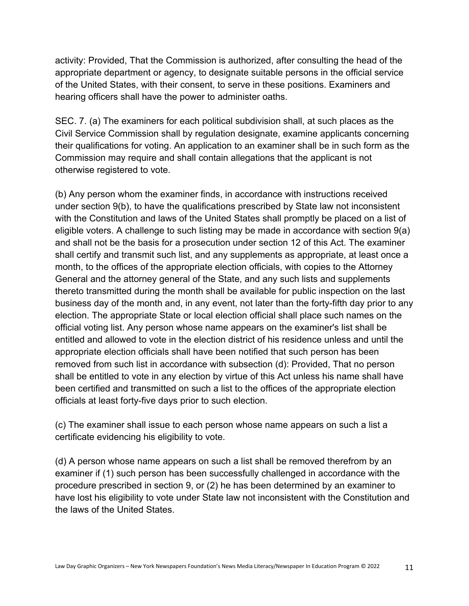activity: Provided, That the Commission is authorized, after consulting the head of the appropriate department or agency, to designate suitable persons in the official service of the United States, with their consent, to serve in these positions. Examiners and hearing officers shall have the power to administer oaths.

SEC. 7. (a) The examiners for each political subdivision shall, at such places as the Civil Service Commission shall by regulation designate, examine applicants concerning their qualifications for voting. An application to an examiner shall be in such form as the Commission may require and shall contain allegations that the applicant is not otherwise registered to vote.

(b) Any person whom the examiner finds, in accordance with instructions received under section 9(b), to have the qualifications prescribed by State law not inconsistent with the Constitution and laws of the United States shall promptly be placed on a list of eligible voters. A challenge to such listing may be made in accordance with section 9(a) and shall not be the basis for a prosecution under section 12 of this Act. The examiner shall certify and transmit such list, and any supplements as appropriate, at least once a month, to the offices of the appropriate election officials, with copies to the Attorney General and the attorney general of the State, and any such lists and supplements thereto transmitted during the month shall be available for public inspection on the last business day of the month and, in any event, not later than the forty-fifth day prior to any election. The appropriate State or local election official shall place such names on the official voting list. Any person whose name appears on the examiner's list shall be entitled and allowed to vote in the election district of his residence unless and until the appropriate election officials shall have been notified that such person has been removed from such list in accordance with subsection (d): Provided, That no person shall be entitled to vote in any election by virtue of this Act unless his name shall have been certified and transmitted on such a list to the offices of the appropriate election officials at least forty-five days prior to such election.

(c) The examiner shall issue to each person whose name appears on such a list a certificate evidencing his eligibility to vote.

(d) A person whose name appears on such a list shall be removed therefrom by an examiner if (1) such person has been successfully challenged in accordance with the procedure prescribed in section 9, or (2) he has been determined by an examiner to have lost his eligibility to vote under State law not inconsistent with the Constitution and the laws of the United States.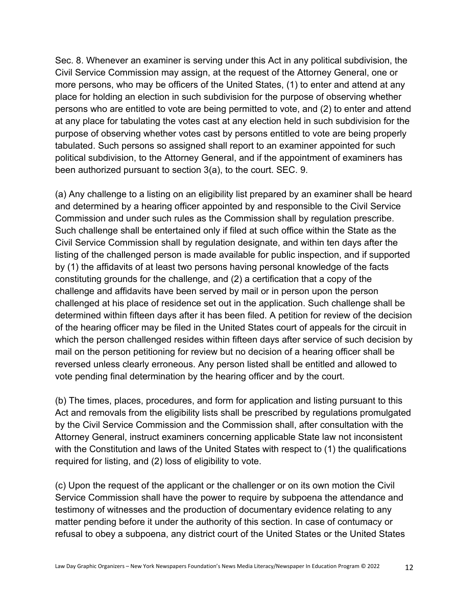Sec. 8. Whenever an examiner is serving under this Act in any political subdivision, the Civil Service Commission may assign, at the request of the Attorney General, one or more persons, who may be officers of the United States, (1) to enter and attend at any place for holding an election in such subdivision for the purpose of observing whether persons who are entitled to vote are being permitted to vote, and (2) to enter and attend at any place for tabulating the votes cast at any election held in such subdivision for the purpose of observing whether votes cast by persons entitled to vote are being properly tabulated. Such persons so assigned shall report to an examiner appointed for such political subdivision, to the Attorney General, and if the appointment of examiners has been authorized pursuant to section 3(a), to the court. SEC. 9.

(a) Any challenge to a listing on an eligibility list prepared by an examiner shall be heard and determined by a hearing officer appointed by and responsible to the Civil Service Commission and under such rules as the Commission shall by regulation prescribe. Such challenge shall be entertained only if filed at such office within the State as the Civil Service Commission shall by regulation designate, and within ten days after the listing of the challenged person is made available for public inspection, and if supported by (1) the affidavits of at least two persons having personal knowledge of the facts constituting grounds for the challenge, and (2) a certification that a copy of the challenge and affidavits have been served by mail or in person upon the person challenged at his place of residence set out in the application. Such challenge shall be determined within fifteen days after it has been filed. A petition for review of the decision of the hearing officer may be filed in the United States court of appeals for the circuit in which the person challenged resides within fifteen days after service of such decision by mail on the person petitioning for review but no decision of a hearing officer shall be reversed unless clearly erroneous. Any person listed shall be entitled and allowed to vote pending final determination by the hearing officer and by the court.

(b) The times, places, procedures, and form for application and listing pursuant to this Act and removals from the eligibility lists shall be prescribed by regulations promulgated by the Civil Service Commission and the Commission shall, after consultation with the Attorney General, instruct examiners concerning applicable State law not inconsistent with the Constitution and laws of the United States with respect to (1) the qualifications required for listing, and (2) loss of eligibility to vote.

(c) Upon the request of the applicant or the challenger or on its own motion the Civil Service Commission shall have the power to require by subpoena the attendance and testimony of witnesses and the production of documentary evidence relating to any matter pending before it under the authority of this section. In case of contumacy or refusal to obey a subpoena, any district court of the United States or the United States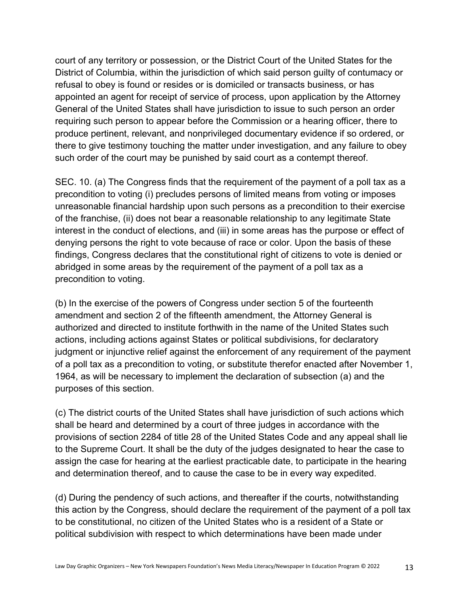court of any territory or possession, or the District Court of the United States for the District of Columbia, within the jurisdiction of which said person guilty of contumacy or refusal to obey is found or resides or is domiciled or transacts business, or has appointed an agent for receipt of service of process, upon application by the Attorney General of the United States shall have jurisdiction to issue to such person an order requiring such person to appear before the Commission or a hearing officer, there to produce pertinent, relevant, and nonprivileged documentary evidence if so ordered, or there to give testimony touching the matter under investigation, and any failure to obey such order of the court may be punished by said court as a contempt thereof.

SEC. 10. (a) The Congress finds that the requirement of the payment of a poll tax as a precondition to voting (i) precludes persons of limited means from voting or imposes unreasonable financial hardship upon such persons as a precondition to their exercise of the franchise, (ii) does not bear a reasonable relationship to any legitimate State interest in the conduct of elections, and (iii) in some areas has the purpose or effect of denying persons the right to vote because of race or color. Upon the basis of these findings, Congress declares that the constitutional right of citizens to vote is denied or abridged in some areas by the requirement of the payment of a poll tax as a precondition to voting.

(b) In the exercise of the powers of Congress under section 5 of the fourteenth amendment and section 2 of the fifteenth amendment, the Attorney General is authorized and directed to institute forthwith in the name of the United States such actions, including actions against States or political subdivisions, for declaratory judgment or injunctive relief against the enforcement of any requirement of the payment of a poll tax as a precondition to voting, or substitute therefor enacted after November 1, 1964, as will be necessary to implement the declaration of subsection (a) and the purposes of this section.

(c) The district courts of the United States shall have jurisdiction of such actions which shall be heard and determined by a court of three judges in accordance with the provisions of section 2284 of title 28 of the United States Code and any appeal shall lie to the Supreme Court. It shall be the duty of the judges designated to hear the case to assign the case for hearing at the earliest practicable date, to participate in the hearing and determination thereof, and to cause the case to be in every way expedited.

(d) During the pendency of such actions, and thereafter if the courts, notwithstanding this action by the Congress, should declare the requirement of the payment of a poll tax to be constitutional, no citizen of the United States who is a resident of a State or political subdivision with respect to which determinations have been made under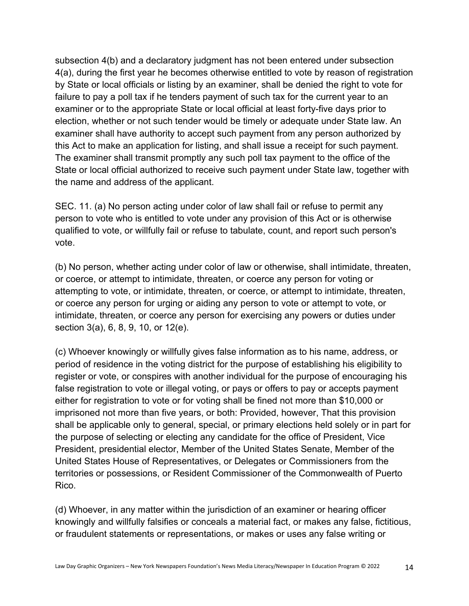subsection 4(b) and a declaratory judgment has not been entered under subsection 4(a), during the first year he becomes otherwise entitled to vote by reason of registration by State or local officials or listing by an examiner, shall be denied the right to vote for failure to pay a poll tax if he tenders payment of such tax for the current year to an examiner or to the appropriate State or local official at least forty-five days prior to election, whether or not such tender would be timely or adequate under State law. An examiner shall have authority to accept such payment from any person authorized by this Act to make an application for listing, and shall issue a receipt for such payment. The examiner shall transmit promptly any such poll tax payment to the office of the State or local official authorized to receive such payment under State law, together with the name and address of the applicant.

SEC. 11. (a) No person acting under color of law shall fail or refuse to permit any person to vote who is entitled to vote under any provision of this Act or is otherwise qualified to vote, or willfully fail or refuse to tabulate, count, and report such person's vote.

(b) No person, whether acting under color of law or otherwise, shall intimidate, threaten, or coerce, or attempt to intimidate, threaten, or coerce any person for voting or attempting to vote, or intimidate, threaten, or coerce, or attempt to intimidate, threaten, or coerce any person for urging or aiding any person to vote or attempt to vote, or intimidate, threaten, or coerce any person for exercising any powers or duties under section 3(a), 6, 8, 9, 10, or 12(e).

(c) Whoever knowingly or willfully gives false information as to his name, address, or period of residence in the voting district for the purpose of establishing his eligibility to register or vote, or conspires with another individual for the purpose of encouraging his false registration to vote or illegal voting, or pays or offers to pay or accepts payment either for registration to vote or for voting shall be fined not more than \$10,000 or imprisoned not more than five years, or both: Provided, however, That this provision shall be applicable only to general, special, or primary elections held solely or in part for the purpose of selecting or electing any candidate for the office of President, Vice President, presidential elector, Member of the United States Senate, Member of the United States House of Representatives, or Delegates or Commissioners from the territories or possessions, or Resident Commissioner of the Commonwealth of Puerto Rico.

(d) Whoever, in any matter within the jurisdiction of an examiner or hearing officer knowingly and willfully falsifies or conceals a material fact, or makes any false, fictitious, or fraudulent statements or representations, or makes or uses any false writing or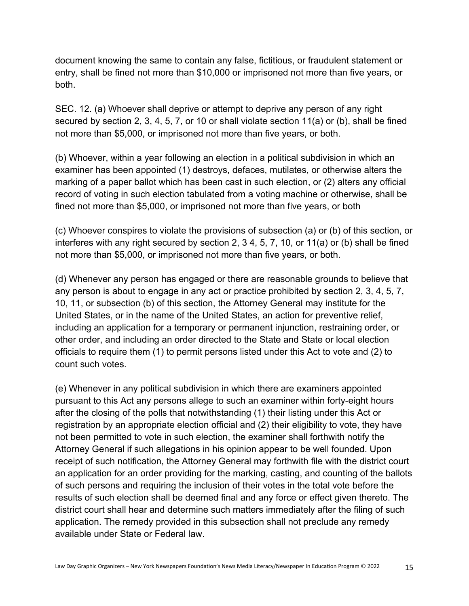document knowing the same to contain any false, fictitious, or fraudulent statement or entry, shall be fined not more than \$10,000 or imprisoned not more than five years, or both.

SEC. 12. (a) Whoever shall deprive or attempt to deprive any person of any right secured by section 2, 3, 4, 5, 7, or 10 or shall violate section 11(a) or (b), shall be fined not more than \$5,000, or imprisoned not more than five years, or both.

(b) Whoever, within a year following an election in a political subdivision in which an examiner has been appointed (1) destroys, defaces, mutilates, or otherwise alters the marking of a paper ballot which has been cast in such election, or (2) alters any official record of voting in such election tabulated from a voting machine or otherwise, shall be fined not more than \$5,000, or imprisoned not more than five years, or both

(c) Whoever conspires to violate the provisions of subsection (a) or (b) of this section, or interferes with any right secured by section 2, 3 4, 5, 7, 10, or 11(a) or (b) shall be fined not more than \$5,000, or imprisoned not more than five years, or both.

(d) Whenever any person has engaged or there are reasonable grounds to believe that any person is about to engage in any act or practice prohibited by section 2, 3, 4, 5, 7, 10, 11, or subsection (b) of this section, the Attorney General may institute for the United States, or in the name of the United States, an action for preventive relief, including an application for a temporary or permanent injunction, restraining order, or other order, and including an order directed to the State and State or local election officials to require them (1) to permit persons listed under this Act to vote and (2) to count such votes.

(e) Whenever in any political subdivision in which there are examiners appointed pursuant to this Act any persons allege to such an examiner within forty-eight hours after the closing of the polls that notwithstanding (1) their listing under this Act or registration by an appropriate election official and (2) their eligibility to vote, they have not been permitted to vote in such election, the examiner shall forthwith notify the Attorney General if such allegations in his opinion appear to be well founded. Upon receipt of such notification, the Attorney General may forthwith file with the district court an application for an order providing for the marking, casting, and counting of the ballots of such persons and requiring the inclusion of their votes in the total vote before the results of such election shall be deemed final and any force or effect given thereto. The district court shall hear and determine such matters immediately after the filing of such application. The remedy provided in this subsection shall not preclude any remedy available under State or Federal law.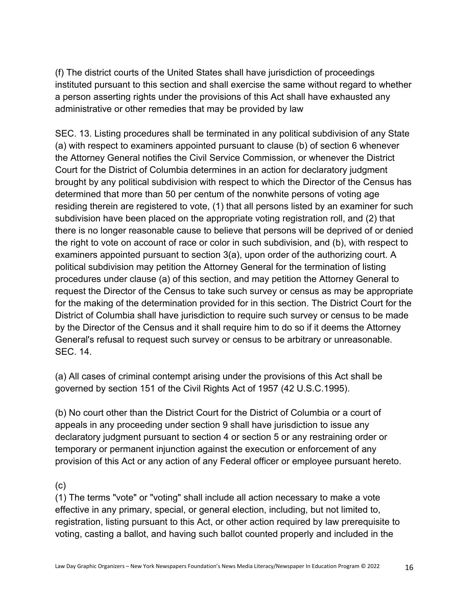(f) The district courts of the United States shall have jurisdiction of proceedings instituted pursuant to this section and shall exercise the same without regard to whether a person asserting rights under the provisions of this Act shall have exhausted any administrative or other remedies that may be provided by law

SEC. 13. Listing procedures shall be terminated in any political subdivision of any State (a) with respect to examiners appointed pursuant to clause (b) of section 6 whenever the Attorney General notifies the Civil Service Commission, or whenever the District Court for the District of Columbia determines in an action for declaratory judgment brought by any political subdivision with respect to which the Director of the Census has determined that more than 50 per centum of the nonwhite persons of voting age residing therein are registered to vote, (1) that all persons listed by an examiner for such subdivision have been placed on the appropriate voting registration roll, and (2) that there is no longer reasonable cause to believe that persons will be deprived of or denied the right to vote on account of race or color in such subdivision, and (b), with respect to examiners appointed pursuant to section 3(a), upon order of the authorizing court. A political subdivision may petition the Attorney General for the termination of listing procedures under clause (a) of this section, and may petition the Attorney General to request the Director of the Census to take such survey or census as may be appropriate for the making of the determination provided for in this section. The District Court for the District of Columbia shall have jurisdiction to require such survey or census to be made by the Director of the Census and it shall require him to do so if it deems the Attorney General's refusal to request such survey or census to be arbitrary or unreasonable. SEC. 14.

(a) All cases of criminal contempt arising under the provisions of this Act shall be governed by section 151 of the Civil Rights Act of 1957 (42 U.S.C.1995).

(b) No court other than the District Court for the District of Columbia or a court of appeals in any proceeding under section 9 shall have jurisdiction to issue any declaratory judgment pursuant to section 4 or section 5 or any restraining order or temporary or permanent injunction against the execution or enforcement of any provision of this Act or any action of any Federal officer or employee pursuant hereto.

(c)

(1) The terms "vote" or "voting" shall include all action necessary to make a vote effective in any primary, special, or general election, including, but not limited to, registration, listing pursuant to this Act, or other action required by law prerequisite to voting, casting a ballot, and having such ballot counted properly and included in the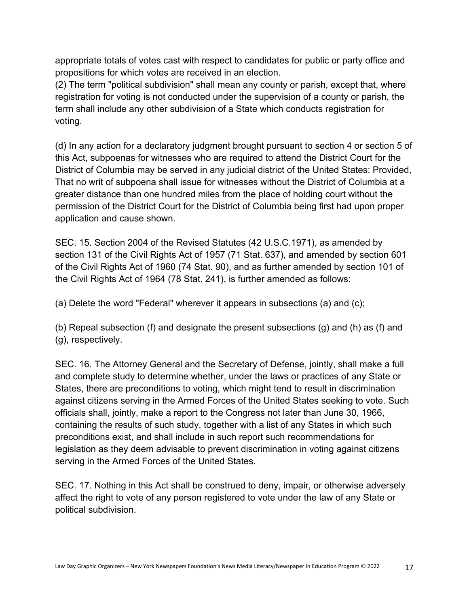appropriate totals of votes cast with respect to candidates for public or party office and propositions for which votes are received in an election.

(2) The term "political subdivision" shall mean any county or parish, except that, where registration for voting is not conducted under the supervision of a county or parish, the term shall include any other subdivision of a State which conducts registration for voting.

(d) In any action for a declaratory judgment brought pursuant to section 4 or section 5 of this Act, subpoenas for witnesses who are required to attend the District Court for the District of Columbia may be served in any judicial district of the United States: Provided, That no writ of subpoena shall issue for witnesses without the District of Columbia at a greater distance than one hundred miles from the place of holding court without the permission of the District Court for the District of Columbia being first had upon proper application and cause shown.

SEC. 15. Section 2004 of the Revised Statutes (42 U.S.C.1971), as amended by section 131 of the Civil Rights Act of 1957 (71 Stat. 637), and amended by section 601 of the Civil Rights Act of 1960 (74 Stat. 90), and as further amended by section 101 of the Civil Rights Act of 1964 (78 Stat. 241), is further amended as follows:

(a) Delete the word "Federal" wherever it appears in subsections (a) and (c);

(b) Repeal subsection (f) and designate the present subsections (g) and (h) as (f) and (g), respectively.

SEC. 16. The Attorney General and the Secretary of Defense, jointly, shall make a full and complete study to determine whether, under the laws or practices of any State or States, there are preconditions to voting, which might tend to result in discrimination against citizens serving in the Armed Forces of the United States seeking to vote. Such officials shall, jointly, make a report to the Congress not later than June 30, 1966, containing the results of such study, together with a list of any States in which such preconditions exist, and shall include in such report such recommendations for legislation as they deem advisable to prevent discrimination in voting against citizens serving in the Armed Forces of the United States.

SEC. 17. Nothing in this Act shall be construed to deny, impair, or otherwise adversely affect the right to vote of any person registered to vote under the law of any State or political subdivision.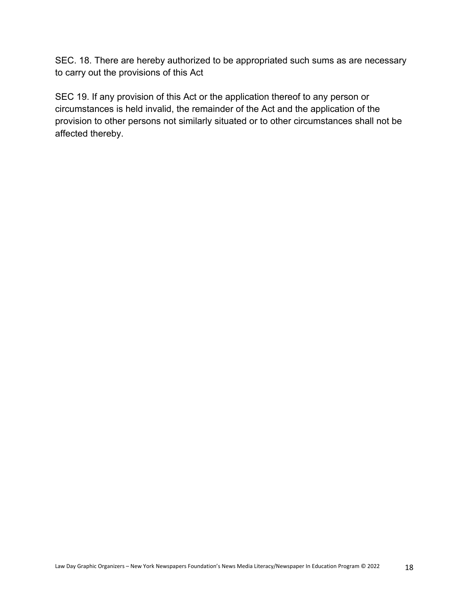SEC. 18. There are hereby authorized to be appropriated such sums as are necessary to carry out the provisions of this Act

SEC 19. If any provision of this Act or the application thereof to any person or circumstances is held invalid, the remainder of the Act and the application of the provision to other persons not similarly situated or to other circumstances shall not be affected thereby.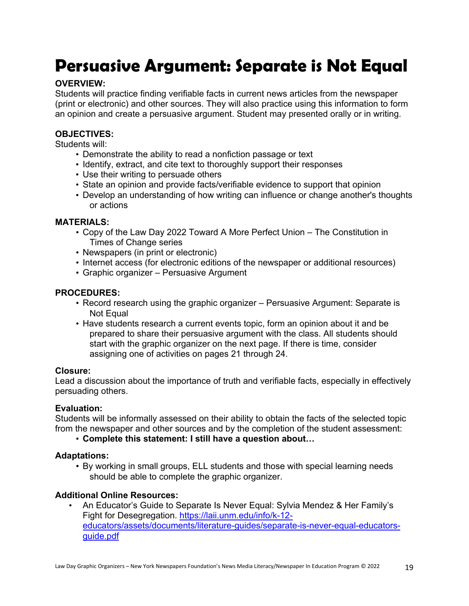# **Persuasive Argument: Separate is Not Equal**

#### **OVERVIEW:**

Students will practice finding verifiable facts in current news articles from the newspaper (print or electronic) and other sources. They will also practice using this information to form an opinion and create a persuasive argument. Student may presented orally or in writing.

#### **OBJECTIVES:**

Students will:

- Demonstrate the ability to read a nonfiction passage or text
- Identify, extract, and cite text to thoroughly support their responses
- Use their writing to persuade others
- State an opinion and provide facts/verifiable evidence to support that opinion
- Develop an understanding of how writing can influence or change another's thoughts or actions

#### **MATERIALS:**

- Copy of the Law Day 2022 Toward A More Perfect Union The Constitution in Times of Change series
- Newspapers (in print or electronic)
- Internet access (for electronic editions of the newspaper or additional resources)
- Graphic organizer Persuasive Argument

#### **PROCEDURES:**

- Record research using the graphic organizer Persuasive Argument: Separate is Not Equal
- Have students research a current events topic, form an opinion about it and be prepared to share their persuasive argument with the class. All students should start with the graphic organizer on the next page. If there is time, consider assigning one of activities on pages 21 through 24.

#### **Closure:**

Lead a discussion about the importance of truth and verifiable facts, especially in effectively persuading others.

#### **Evaluation:**

Students will be informally assessed on their ability to obtain the facts of the selected topic from the newspaper and other sources and by the completion of the student assessment:

• **Complete this statement: I still have a question about…** 

#### **Adaptations:**

• By working in small groups, ELL students and those with special learning needs should be able to complete the graphic organizer.

#### **Additional Online Resources:**

• An Educator's Guide to Separate Is Never Equal: Sylvia Mendez & Her Family's Fight for Desegregation. https://laii.unm.edu/info/k-12 educators/assets/documents/literature-guides/separate-is-never-equal-educatorsguide.pdf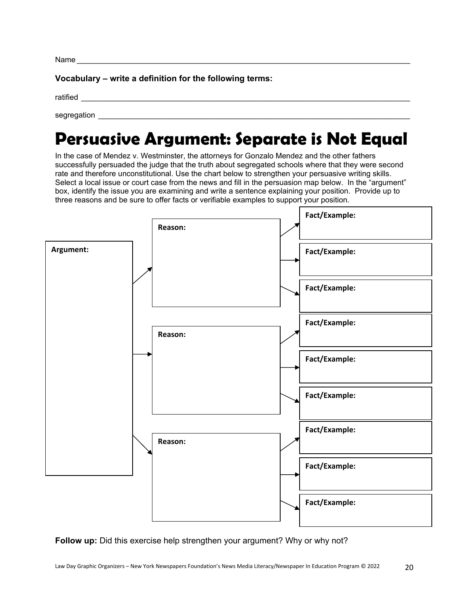Name \_\_\_\_\_\_\_\_\_\_\_\_\_\_\_\_\_\_\_\_\_\_\_\_\_\_\_\_\_\_\_\_\_\_\_\_\_\_\_\_\_\_\_\_\_\_\_\_\_\_\_\_\_\_\_\_\_\_\_\_\_\_\_\_\_\_\_\_\_\_\_\_\_\_\_\_\_\_

**Vocabulary – write a definition for the following terms:** 

ratified \_\_\_\_\_\_\_\_\_\_\_\_\_\_\_\_\_\_\_\_\_\_\_\_\_\_\_\_\_\_\_\_\_\_\_\_\_\_\_\_\_\_\_\_\_\_\_\_\_\_\_\_\_\_\_\_\_\_\_\_\_\_\_\_\_\_\_\_\_\_\_\_\_\_\_\_\_

segregation **with the sequence of the sequence of the sequence of the sequence of the sequence of the sequence of the sequence of the sequence of the sequence of the sequence of the sequence of the sequence of the sequence** 

## **Persuasive Argument: Separate is Not Equal**

In the case of Mendez v. Westminster, the attorneys for Gonzalo Mendez and the other fathers successfully persuaded the judge that the truth about segregated schools where that they were second rate and therefore unconstitutional. Use the chart below to strengthen your persuasive writing skills. Select a local issue or court case from the news and fill in the persuasion map below. In the "argument" box, identify the issue you are examining and write a sentence explaining your position. Provide up to three reasons and be sure to offer facts or verifiable examples to support your position.



**Follow up:** Did this exercise help strengthen your argument? Why or why not?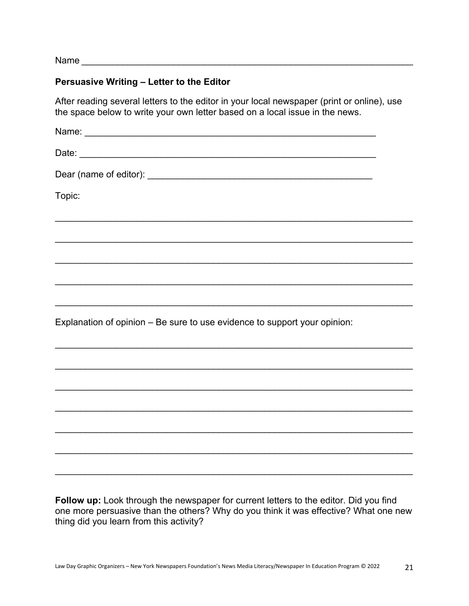Name was also as a set of the set of the set of the set of the set of the set of the set of the set of the set of the set of the set of the set of the set of the set of the set of the set of the set of the set of the set o

| Persuasive Writing - Letter to the Editor           |
|-----------------------------------------------------|
| After reading several letters to the editor in your |

itor in your local newspaper (print or online), use the space below to write your own letter based on a local issue in the news.

 $\mathcal{L}_\mathcal{L} = \mathcal{L}_\mathcal{L} = \mathcal{L}_\mathcal{L} = \mathcal{L}_\mathcal{L} = \mathcal{L}_\mathcal{L} = \mathcal{L}_\mathcal{L} = \mathcal{L}_\mathcal{L} = \mathcal{L}_\mathcal{L} = \mathcal{L}_\mathcal{L} = \mathcal{L}_\mathcal{L} = \mathcal{L}_\mathcal{L} = \mathcal{L}_\mathcal{L} = \mathcal{L}_\mathcal{L} = \mathcal{L}_\mathcal{L} = \mathcal{L}_\mathcal{L} = \mathcal{L}_\mathcal{L} = \mathcal{L}_\mathcal{L}$ 

\_\_\_\_\_\_\_\_\_\_\_\_\_\_\_\_\_\_\_\_\_\_\_\_\_\_\_\_\_\_\_\_\_\_\_\_\_\_\_\_\_\_\_\_\_\_\_\_\_\_\_\_\_\_\_\_\_\_\_\_\_\_\_\_\_\_\_\_\_\_

 $\mathcal{L}_\mathcal{L} = \mathcal{L}_\mathcal{L} = \mathcal{L}_\mathcal{L} = \mathcal{L}_\mathcal{L} = \mathcal{L}_\mathcal{L} = \mathcal{L}_\mathcal{L} = \mathcal{L}_\mathcal{L} = \mathcal{L}_\mathcal{L} = \mathcal{L}_\mathcal{L} = \mathcal{L}_\mathcal{L} = \mathcal{L}_\mathcal{L} = \mathcal{L}_\mathcal{L} = \mathcal{L}_\mathcal{L} = \mathcal{L}_\mathcal{L} = \mathcal{L}_\mathcal{L} = \mathcal{L}_\mathcal{L} = \mathcal{L}_\mathcal{L}$ 

\_\_\_\_\_\_\_\_\_\_\_\_\_\_\_\_\_\_\_\_\_\_\_\_\_\_\_\_\_\_\_\_\_\_\_\_\_\_\_\_\_\_\_\_\_\_\_\_\_\_\_\_\_\_\_\_\_\_\_\_\_\_\_\_\_\_\_\_\_\_

\_\_\_\_\_\_\_\_\_\_\_\_\_\_\_\_\_\_\_\_\_\_\_\_\_\_\_\_\_\_\_\_\_\_\_\_\_\_\_\_\_\_\_\_\_\_\_\_\_\_\_\_\_\_\_\_\_\_\_\_\_\_\_\_\_\_\_\_\_\_

\_\_\_\_\_\_\_\_\_\_\_\_\_\_\_\_\_\_\_\_\_\_\_\_\_\_\_\_\_\_\_\_\_\_\_\_\_\_\_\_\_\_\_\_\_\_\_\_\_\_\_\_\_\_\_\_\_\_\_\_\_\_\_\_\_\_\_\_\_\_

 $\mathcal{L}_\mathcal{L} = \mathcal{L}_\mathcal{L} = \mathcal{L}_\mathcal{L} = \mathcal{L}_\mathcal{L} = \mathcal{L}_\mathcal{L} = \mathcal{L}_\mathcal{L} = \mathcal{L}_\mathcal{L} = \mathcal{L}_\mathcal{L} = \mathcal{L}_\mathcal{L} = \mathcal{L}_\mathcal{L} = \mathcal{L}_\mathcal{L} = \mathcal{L}_\mathcal{L} = \mathcal{L}_\mathcal{L} = \mathcal{L}_\mathcal{L} = \mathcal{L}_\mathcal{L} = \mathcal{L}_\mathcal{L} = \mathcal{L}_\mathcal{L}$ 

\_\_\_\_\_\_\_\_\_\_\_\_\_\_\_\_\_\_\_\_\_\_\_\_\_\_\_\_\_\_\_\_\_\_\_\_\_\_\_\_\_\_\_\_\_\_\_\_\_\_\_\_\_\_\_\_\_\_\_\_\_\_\_\_\_\_\_\_\_\_

\_\_\_\_\_\_\_\_\_\_\_\_\_\_\_\_\_\_\_\_\_\_\_\_\_\_\_\_\_\_\_\_\_\_\_\_\_\_\_\_\_\_\_\_\_\_\_\_\_\_\_\_\_\_\_\_\_\_\_\_\_\_\_\_\_\_\_\_\_\_

 $\mathcal{L}_\mathcal{L} = \mathcal{L}_\mathcal{L} = \mathcal{L}_\mathcal{L} = \mathcal{L}_\mathcal{L} = \mathcal{L}_\mathcal{L} = \mathcal{L}_\mathcal{L} = \mathcal{L}_\mathcal{L} = \mathcal{L}_\mathcal{L} = \mathcal{L}_\mathcal{L} = \mathcal{L}_\mathcal{L} = \mathcal{L}_\mathcal{L} = \mathcal{L}_\mathcal{L} = \mathcal{L}_\mathcal{L} = \mathcal{L}_\mathcal{L} = \mathcal{L}_\mathcal{L} = \mathcal{L}_\mathcal{L} = \mathcal{L}_\mathcal{L}$ 

\_\_\_\_\_\_\_\_\_\_\_\_\_\_\_\_\_\_\_\_\_\_\_\_\_\_\_\_\_\_\_\_\_\_\_\_\_\_\_\_\_\_\_\_\_\_\_\_\_\_\_\_\_\_\_\_\_\_\_\_\_\_\_\_\_\_\_\_\_\_

 $\mathcal{L}_\text{max}$  , and the contribution of the contribution of the contribution of the contribution of the contribution of the contribution of the contribution of the contribution of the contribution of the contribution of t

Date: \_\_\_\_\_\_\_\_\_\_\_\_\_\_\_\_\_\_\_\_\_\_\_\_\_\_\_\_\_\_\_\_\_\_\_\_\_\_\_\_\_\_\_\_\_\_\_\_\_\_\_\_\_\_\_\_\_\_

Dear (name of editor): **Dear** (name of editor):

Name: \_\_\_\_\_\_\_\_\_\_\_\_\_\_\_\_\_\_\_\_\_\_\_\_\_\_\_\_\_\_\_\_\_\_\_\_\_\_\_\_\_\_\_\_\_\_\_\_\_\_\_\_\_\_\_\_\_

Topic:

Explanation of opinion – Be sure to use evidence to support your opinion:

**Follow up:** Look through the newspaper for current letters to the editor. Did you find one more persuasive than the others? Why do you think it was effective? What one new thing did you learn from this activity?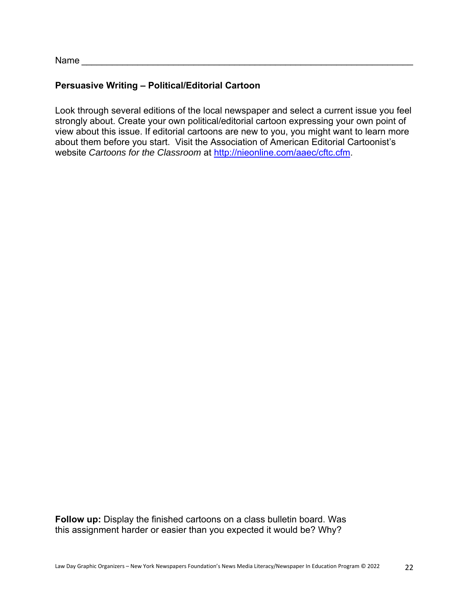#### **Persuasive Writing – Political/Editorial Cartoon**

Look through several editions of the local newspaper and select a current issue you feel strongly about. Create your own political/editorial cartoon expressing your own point of view about this issue. If editorial cartoons are new to you, you might want to learn more about them before you start. Visit the Association of American Editorial Cartoonist's website *Cartoons for the Classroom* at http://nieonline.com/aaec/cftc.cfm.

**Follow up:** Display the finished cartoons on a class bulletin board. Was this assignment harder or easier than you expected it would be? Why?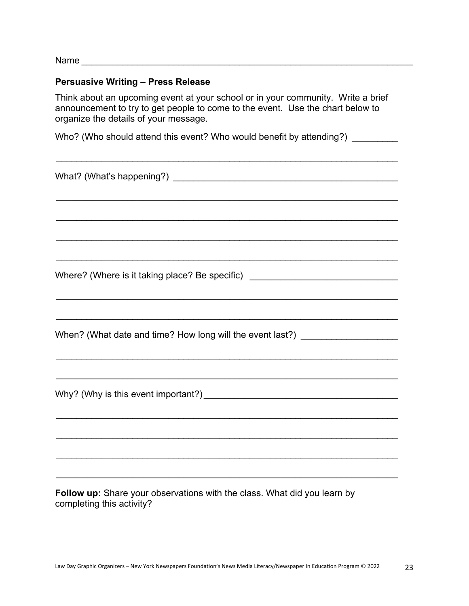Name was also as a set of the set of the set of the set of the set of the set of the set of the set of the set of the set of the set of the set of the set of the set of the set of the set of the set of the set of the set o

#### **Persuasive Writing – Press Release**

Think about an upcoming event at your school or in your community. Write a brief announcement to try to get people to come to the event. Use the chart below to organize the details of your message.

Who? (Who should attend this event? Who would benefit by attending?)

\_\_\_\_\_\_\_\_\_\_\_\_\_\_\_\_\_\_\_\_\_\_\_\_\_\_\_\_\_\_\_\_\_\_\_\_\_\_\_\_\_\_\_\_\_\_\_\_\_\_\_\_\_\_\_\_\_\_\_\_\_\_\_\_\_\_\_

\_\_\_\_\_\_\_\_\_\_\_\_\_\_\_\_\_\_\_\_\_\_\_\_\_\_\_\_\_\_\_\_\_\_\_\_\_\_\_\_\_\_\_\_\_\_\_\_\_\_\_\_\_\_\_\_\_\_\_\_\_\_\_\_\_\_\_

\_\_\_\_\_\_\_\_\_\_\_\_\_\_\_\_\_\_\_\_\_\_\_\_\_\_\_\_\_\_\_\_\_\_\_\_\_\_\_\_\_\_\_\_\_\_\_\_\_\_\_\_\_\_\_\_\_\_\_\_\_\_\_\_\_\_\_

\_\_\_\_\_\_\_\_\_\_\_\_\_\_\_\_\_\_\_\_\_\_\_\_\_\_\_\_\_\_\_\_\_\_\_\_\_\_\_\_\_\_\_\_\_\_\_\_\_\_\_\_\_\_\_\_\_\_\_\_\_\_\_\_\_\_\_

\_\_\_\_\_\_\_\_\_\_\_\_\_\_\_\_\_\_\_\_\_\_\_\_\_\_\_\_\_\_\_\_\_\_\_\_\_\_\_\_\_\_\_\_\_\_\_\_\_\_\_\_\_\_\_\_\_\_\_\_\_\_\_\_\_\_\_

\_\_\_\_\_\_\_\_\_\_\_\_\_\_\_\_\_\_\_\_\_\_\_\_\_\_\_\_\_\_\_\_\_\_\_\_\_\_\_\_\_\_\_\_\_\_\_\_\_\_\_\_\_\_\_\_\_\_\_\_\_\_\_\_\_\_\_

\_\_\_\_\_\_\_\_\_\_\_\_\_\_\_\_\_\_\_\_\_\_\_\_\_\_\_\_\_\_\_\_\_\_\_\_\_\_\_\_\_\_\_\_\_\_\_\_\_\_\_\_\_\_\_\_\_\_\_\_\_\_\_\_\_\_\_

\_\_\_\_\_\_\_\_\_\_\_\_\_\_\_\_\_\_\_\_\_\_\_\_\_\_\_\_\_\_\_\_\_\_\_\_\_\_\_\_\_\_\_\_\_\_\_\_\_\_\_\_\_\_\_\_\_\_\_\_\_\_\_\_\_\_\_

\_\_\_\_\_\_\_\_\_\_\_\_\_\_\_\_\_\_\_\_\_\_\_\_\_\_\_\_\_\_\_\_\_\_\_\_\_\_\_\_\_\_\_\_\_\_\_\_\_\_\_\_\_\_\_\_\_\_\_\_\_\_\_\_\_\_\_

\_\_\_\_\_\_\_\_\_\_\_\_\_\_\_\_\_\_\_\_\_\_\_\_\_\_\_\_\_\_\_\_\_\_\_\_\_\_\_\_\_\_\_\_\_\_\_\_\_\_\_\_\_\_\_\_\_\_\_\_\_\_\_\_\_\_\_

\_\_\_\_\_\_\_\_\_\_\_\_\_\_\_\_\_\_\_\_\_\_\_\_\_\_\_\_\_\_\_\_\_\_\_\_\_\_\_\_\_\_\_\_\_\_\_\_\_\_\_\_\_\_\_\_\_\_\_\_\_\_\_\_\_\_\_

\_\_\_\_\_\_\_\_\_\_\_\_\_\_\_\_\_\_\_\_\_\_\_\_\_\_\_\_\_\_\_\_\_\_\_\_\_\_\_\_\_\_\_\_\_\_\_\_\_\_\_\_\_\_\_\_\_\_\_\_\_\_\_\_\_\_\_

\_\_\_\_\_\_\_\_\_\_\_\_\_\_\_\_\_\_\_\_\_\_\_\_\_\_\_\_\_\_\_\_\_\_\_\_\_\_\_\_\_\_\_\_\_\_\_\_\_\_\_\_\_\_\_\_\_\_\_\_\_\_\_\_\_\_\_

What? (What's happening?) \_\_\_\_\_\_\_\_\_\_\_\_\_\_\_\_\_\_\_\_\_\_\_\_\_\_\_\_\_\_\_\_\_\_\_\_\_\_\_\_\_\_\_\_

Where? (Where is it taking place? Be specific) \_\_\_\_\_\_\_\_\_\_\_\_\_\_\_\_\_\_\_\_\_\_\_\_\_\_\_\_\_\_\_\_\_

When? (What date and time? How long will the event last?)

Why? (Why is this event important?)

**Follow up:** Share your observations with the class. What did you learn by completing this activity?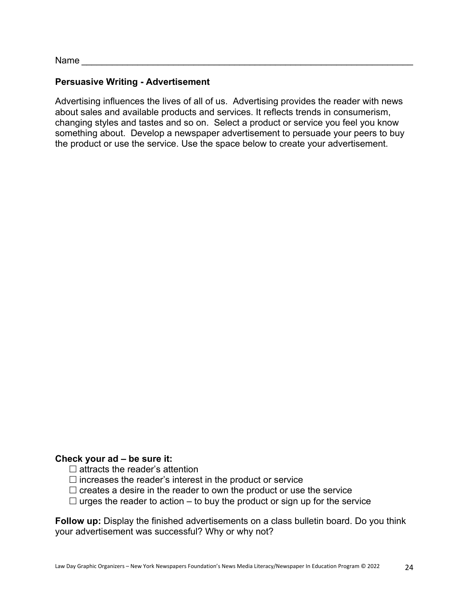#### **Persuasive Writing - Advertisement**

Advertising influences the lives of all of us. Advertising provides the reader with news about sales and available products and services. It reflects trends in consumerism, changing styles and tastes and so on. Select a product or service you feel you know something about. Develop a newspaper advertisement to persuade your peers to buy the product or use the service. Use the space below to create your advertisement.

#### **Check your ad – be sure it:**

 $\Box$  attracts the reader's attention

 $\Box$  increases the reader's interest in the product or service

 $\Box$  creates a desire in the reader to own the product or use the service

 $\Box$  urges the reader to action – to buy the product or sign up for the service

**Follow up:** Display the finished advertisements on a class bulletin board. Do you think your advertisement was successful? Why or why not?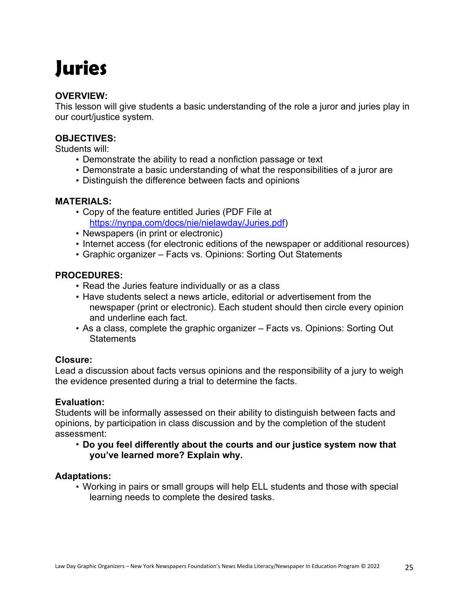# **Juries**

#### **OVERVIEW:**

This lesson will give students a basic understanding of the role a juror and juries play in our court/justice system.

#### **OBJECTIVES:**

Students will:

- Demonstrate the ability to read a nonfiction passage or text
- Demonstrate a basic understanding of what the responsibilities of a juror are
- Distinguish the difference between facts and opinions

#### **MATERIALS:**

- Copy of the feature entitled Juries (PDF File at https://nynpa.com/docs/nie/nielawday/Juries.pdf)
- Newspapers (in print or electronic)
- Internet access (for electronic editions of the newspaper or additional resources)
- Graphic organizer Facts vs. Opinions: Sorting Out Statements

#### **PROCEDURES:**

- Read the Juries feature individually or as a class
- Have students select a news article, editorial or advertisement from the newspaper (print or electronic). Each student should then circle every opinion and underline each fact.
- As a class, complete the graphic organizer Facts vs. Opinions: Sorting Out **Statements**

#### **Closure:**

Lead a discussion about facts versus opinions and the responsibility of a jury to weigh the evidence presented during a trial to determine the facts.

#### **Evaluation:**

Students will be informally assessed on their ability to distinguish between facts and opinions, by participation in class discussion and by the completion of the student assessment:

• **Do you feel differently about the courts and our justice system now that you've learned more? Explain why.** 

#### **Adaptations:**

• Working in pairs or small groups will help ELL students and those with special learning needs to complete the desired tasks.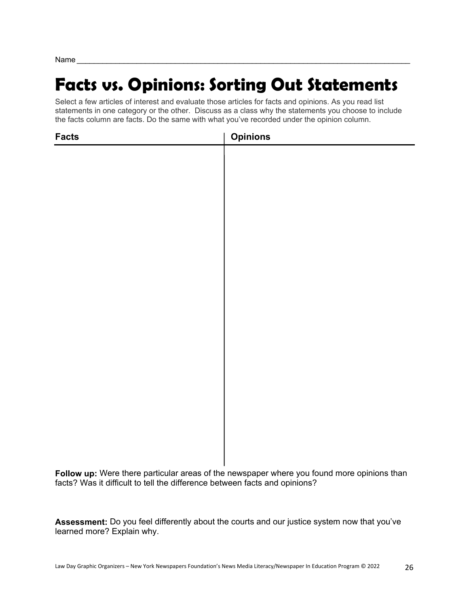Name \_\_\_\_\_\_\_\_\_\_\_\_\_\_\_\_\_\_\_\_\_\_\_\_\_\_\_\_\_\_\_\_\_\_\_\_\_\_\_\_\_\_\_\_\_\_\_\_\_\_\_\_\_\_\_\_\_\_\_\_\_\_\_\_\_\_\_\_\_\_\_\_\_\_\_\_\_\_

# **Facts vs. Opinions: Sorting Out Statements**

Select a few articles of interest and evaluate those articles for facts and opinions. As you read list statements in one category or the other. Discuss as a class why the statements you choose to include the facts column are facts. Do the same with what you've recorded under the opinion column.

| <b>Facts</b> | <b>Opinions</b> |
|--------------|-----------------|
|              |                 |
|              |                 |
|              |                 |
|              |                 |
|              |                 |
|              |                 |
|              |                 |
|              |                 |
|              |                 |
|              |                 |
|              |                 |
|              |                 |
|              |                 |
|              |                 |
|              |                 |
|              |                 |
|              |                 |
|              |                 |
|              |                 |
|              |                 |

**Follow up:** Were there particular areas of the newspaper where you found more opinions than facts? Was it difficult to tell the difference between facts and opinions?

**Assessment:** Do you feel differently about the courts and our justice system now that you've learned more? Explain why.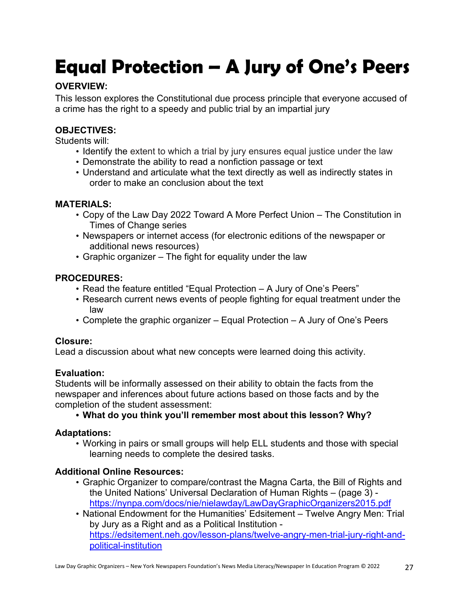# **Equal Protection – A Jury of One's Peers**

#### **OVERVIEW:**

This lesson explores the Constitutional due process principle that everyone accused of a crime has the right to a speedy and public trial by an impartial jury

#### **OBJECTIVES:**

Students will:

- Identify the extent to which a trial by jury ensures equal justice under the law
- Demonstrate the ability to read a nonfiction passage or text
- Understand and articulate what the text directly as well as indirectly states in order to make an conclusion about the text

#### **MATERIALS:**

- Copy of the Law Day 2022 Toward A More Perfect Union The Constitution in Times of Change series
- Newspapers or internet access (for electronic editions of the newspaper or additional news resources)
- Graphic organizer The fight for equality under the law

#### **PROCEDURES:**

- Read the feature entitled "Equal Protection A Jury of One's Peers"
- Research current news events of people fighting for equal treatment under the law
- Complete the graphic organizer Equal Protection A Jury of One's Peers

#### **Closure:**

Lead a discussion about what new concepts were learned doing this activity.

#### **Evaluation:**

Students will be informally assessed on their ability to obtain the facts from the newspaper and inferences about future actions based on those facts and by the completion of the student assessment:

#### **• What do you think you'll remember most about this lesson? Why?**

#### **Adaptations:**

• Working in pairs or small groups will help ELL students and those with special learning needs to complete the desired tasks.

#### **Additional Online Resources:**

- Graphic Organizer to compare/contrast the Magna Carta, the Bill of Rights and the United Nations' Universal Declaration of Human Rights – (page 3) https://nynpa.com/docs/nie/nielawday/LawDayGraphicOrganizers2015.pdf
- National Endowment for the Humanities' Edsitement Twelve Angry Men: Trial by Jury as a Right and as a Political Institution https://edsitement.neh.gov/lesson-plans/twelve-angry-men-trial-jury-right-andpolitical-institution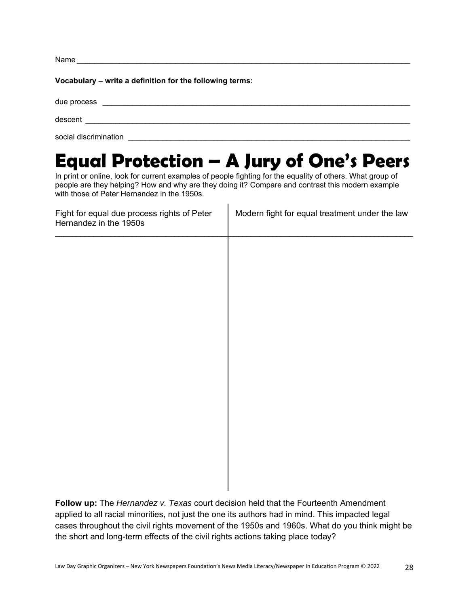| Vocabulary – write a definition for the following terms: |  |
|----------------------------------------------------------|--|
|                                                          |  |
| due process                                              |  |

descent \_\_\_\_\_\_\_\_\_\_\_\_\_\_\_\_\_\_\_\_\_\_\_\_\_\_\_\_\_\_\_\_\_\_\_\_\_\_\_\_\_\_\_\_\_\_\_\_\_\_\_\_\_\_\_\_\_\_\_\_\_\_\_\_\_\_\_\_\_\_\_\_\_\_\_\_

social discrimination

# **Equal Protection – A Jury of One's Peers**

In print or online, look for current examples of people fighting for the equality of others. What group of people are they helping? How and why are they doing it? Compare and contrast this modern example with those of Peter Hernandez in the 1950s.

| Fight for equal due process rights of Peter<br>Hernandez in the 1950s | Modern fight for equal treatment under the law                               |  |  |  |  |  |
|-----------------------------------------------------------------------|------------------------------------------------------------------------------|--|--|--|--|--|
|                                                                       |                                                                              |  |  |  |  |  |
|                                                                       |                                                                              |  |  |  |  |  |
|                                                                       |                                                                              |  |  |  |  |  |
|                                                                       |                                                                              |  |  |  |  |  |
|                                                                       |                                                                              |  |  |  |  |  |
|                                                                       |                                                                              |  |  |  |  |  |
|                                                                       |                                                                              |  |  |  |  |  |
|                                                                       |                                                                              |  |  |  |  |  |
| تمامسه مسمل مطالبة<br>. н.<br>.<br>┯                                  | ومعاوية ويحمدني والملوية ويلاسدون والمستقط الملح والمتواط والمتحدث والمساوية |  |  |  |  |  |

**Follow up:** The *Hernandez v. Texas* court decision held that the Fourteenth Amendment applied to all racial minorities, not just the one its authors had in mind. This impacted legal cases throughout the civil rights movement of the 1950s and 1960s. What do you think might be the short and long-term effects of the civil rights actions taking place today?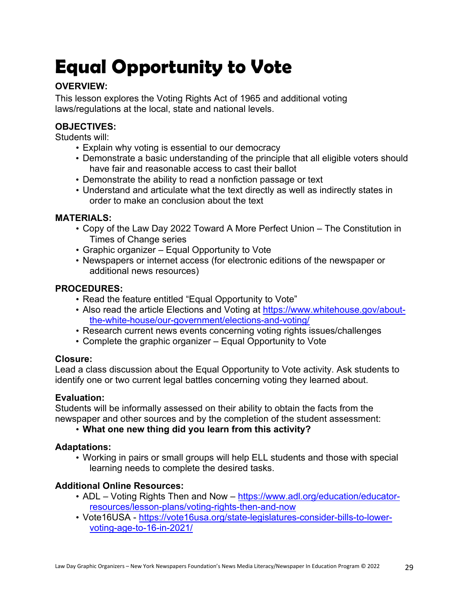# **Equal Opportunity to Vote**

#### **OVERVIEW:**

This lesson explores the Voting Rights Act of 1965 and additional voting laws/regulations at the local, state and national levels.

#### **OBJECTIVES:**

Students will:

- Explain why voting is essential to our democracy
- Demonstrate a basic understanding of the principle that all eligible voters should have fair and reasonable access to cast their ballot
- Demonstrate the ability to read a nonfiction passage or text
- Understand and articulate what the text directly as well as indirectly states in order to make an conclusion about the text

#### **MATERIALS:**

- Copy of the Law Day 2022 Toward A More Perfect Union The Constitution in Times of Change series
- Graphic organizer Equal Opportunity to Vote
- Newspapers or internet access (for electronic editions of the newspaper or additional news resources)

#### **PROCEDURES:**

- Read the feature entitled "Equal Opportunity to Vote"
- Also read the article Elections and Voting at https://www.whitehouse.gov/aboutthe-white-house/our-government/elections-and-voting/
- Research current news events concerning voting rights issues/challenges
- Complete the graphic organizer Equal Opportunity to Vote

#### **Closure:**

Lead a class discussion about the Equal Opportunity to Vote activity. Ask students to identify one or two current legal battles concerning voting they learned about.

#### **Evaluation:**

Students will be informally assessed on their ability to obtain the facts from the newspaper and other sources and by the completion of the student assessment:

• **What one new thing did you learn from this activity?** 

#### **Adaptations:**

• Working in pairs or small groups will help ELL students and those with special learning needs to complete the desired tasks.

#### **Additional Online Resources:**

- ADL Voting Rights Then and Now https://www.adl.org/education/educatorresources/lesson-plans/voting-rights-then-and-now
- Vote16USA https://vote16usa.org/state-legislatures-consider-bills-to-lowervoting-age-to-16-in-2021/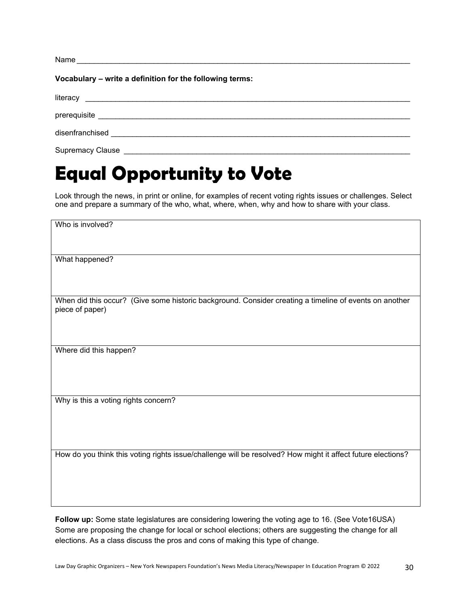| Name                                                     |
|----------------------------------------------------------|
| Vocabulary - write a definition for the following terms: |
|                                                          |
|                                                          |
|                                                          |
| <b>Supremacy Clause</b>                                  |

# **Equal Opportunity to Vote**

Look through the news, in print or online, for examples of recent voting rights issues or challenges. Select one and prepare a summary of the who, what, where, when, why and how to share with your class.

| Who is involved?                                                                                                          |
|---------------------------------------------------------------------------------------------------------------------------|
|                                                                                                                           |
| What happened?                                                                                                            |
|                                                                                                                           |
| When did this occur? (Give some historic background. Consider creating a timeline of events on another<br>piece of paper) |
| Where did this happen?                                                                                                    |
|                                                                                                                           |
| Why is this a voting rights concern?                                                                                      |
|                                                                                                                           |
| How do you think this voting rights issue/challenge will be resolved? How might it affect future elections?               |
|                                                                                                                           |
|                                                                                                                           |

**Follow up:** Some state legislatures are considering lowering the voting age to 16. (See Vote16USA) Some are proposing the change for local or school elections; others are suggesting the change for all elections. As a class discuss the pros and cons of making this type of change.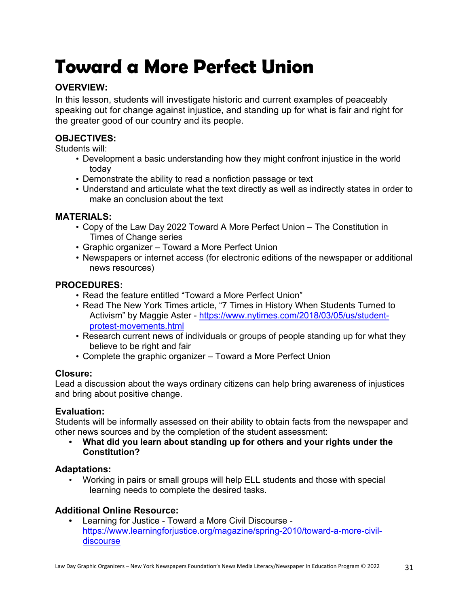# **Toward a More Perfect Union**

#### **OVERVIEW:**

In this lesson, students will investigate historic and current examples of peaceably speaking out for change against injustice, and standing up for what is fair and right for the greater good of our country and its people.

#### **OBJECTIVES:**

Students will:

- Development a basic understanding how they might confront injustice in the world today
- Demonstrate the ability to read a nonfiction passage or text
- Understand and articulate what the text directly as well as indirectly states in order to make an conclusion about the text

#### **MATERIALS:**

- Copy of the Law Day 2022 Toward A More Perfect Union The Constitution in Times of Change series
- Graphic organizer Toward a More Perfect Union
- Newspapers or internet access (for electronic editions of the newspaper or additional news resources)

#### **PROCEDURES:**

- Read the feature entitled "Toward a More Perfect Union"
- Read The New York Times article, "7 Times in History When Students Turned to Activism" by Maggie Aster - https://www.nytimes.com/2018/03/05/us/studentprotest-movements.html
- Research current news of individuals or groups of people standing up for what they believe to be right and fair
- Complete the graphic organizer Toward a More Perfect Union

#### **Closure:**

Lead a discussion about the ways ordinary citizens can help bring awareness of injustices and bring about positive change.

#### **Evaluation:**

Students will be informally assessed on their ability to obtain facts from the newspaper and other news sources and by the completion of the student assessment:

**• What did you learn about standing up for others and your rights under the Constitution?** 

#### **Adaptations:**

• Working in pairs or small groups will help ELL students and those with special learning needs to complete the desired tasks.

#### **Additional Online Resource:**

**•** Learning for Justice - Toward a More Civil Discourse https://www.learningforjustice.org/magazine/spring-2010/toward-a-more-civildiscourse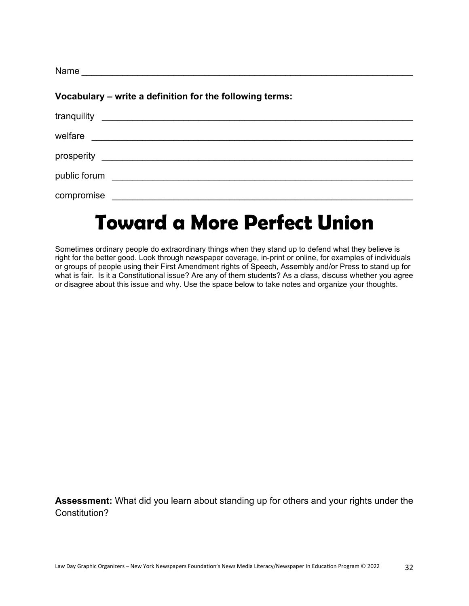Name was also as a set of the set of the set of the set of the set of the set of the set of the set of the set of the set of the set of the set of the set of the set of the set of the set of the set of the set of the set o

#### **Vocabulary – write a definition for the following terms:**

| welfare      |                                                                                                                                                                                                                                      |  |  |
|--------------|--------------------------------------------------------------------------------------------------------------------------------------------------------------------------------------------------------------------------------------|--|--|
|              |                                                                                                                                                                                                                                      |  |  |
| public forum | <u> 2001 - John Stein, mars et al. (2001)</u>                                                                                                                                                                                        |  |  |
| compromise   | <u> 1980 - Johann Stein, marwolaeth a bhliain 1980 - An t-An Aontaithe ann an t-An Aontaithe ann an t-An Aontaithe ann an t-An Aontaithe ann an t-An Aontaithe ann an t-An Aontaithe ann an t-An Aontaithe ann an t-An Aontaithe</u> |  |  |
|              |                                                                                                                                                                                                                                      |  |  |

# **Toward a More Perfect Union**

Sometimes ordinary people do extraordinary things when they stand up to defend what they believe is right for the better good. Look through newspaper coverage, in-print or online, for examples of individuals or groups of people using their First Amendment rights of Speech, Assembly and/or Press to stand up for what is fair. Is it a Constitutional issue? Are any of them students? As a class, discuss whether you agree or disagree about this issue and why. Use the space below to take notes and organize your thoughts.

**Assessment:** What did you learn about standing up for others and your rights under the Constitution?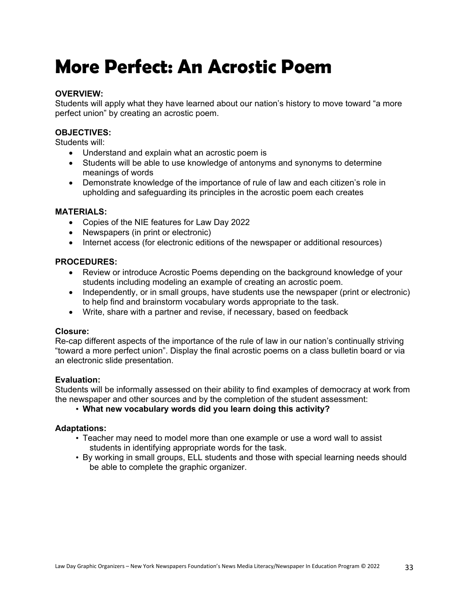# **More Perfect: An Acrostic Poem**

#### **OVERVIEW:**

Students will apply what they have learned about our nation's history to move toward "a more perfect union" by creating an acrostic poem.

#### **OBJECTIVES:**

Students will:

- Understand and explain what an acrostic poem is
- Students will be able to use knowledge of antonyms and synonyms to determine meanings of words
- Demonstrate knowledge of the importance of rule of law and each citizen's role in upholding and safeguarding its principles in the acrostic poem each creates

#### **MATERIALS:**

- Copies of the NIE features for Law Day 2022
- Newspapers (in print or electronic)
- Internet access (for electronic editions of the newspaper or additional resources)

#### **PROCEDURES:**

- Review or introduce Acrostic Poems depending on the background knowledge of your students including modeling an example of creating an acrostic poem.
- Independently, or in small groups, have students use the newspaper (print or electronic) to help find and brainstorm vocabulary words appropriate to the task.
- Write, share with a partner and revise, if necessary, based on feedback

#### **Closure:**

Re-cap different aspects of the importance of the rule of law in our nation's continually striving "toward a more perfect union". Display the final acrostic poems on a class bulletin board or via an electronic slide presentation.

#### **Evaluation:**

Students will be informally assessed on their ability to find examples of democracy at work from the newspaper and other sources and by the completion of the student assessment:

#### • **What new vocabulary words did you learn doing this activity?**

#### **Adaptations:**

- Teacher may need to model more than one example or use a word wall to assist students in identifying appropriate words for the task.
- By working in small groups, ELL students and those with special learning needs should be able to complete the graphic organizer.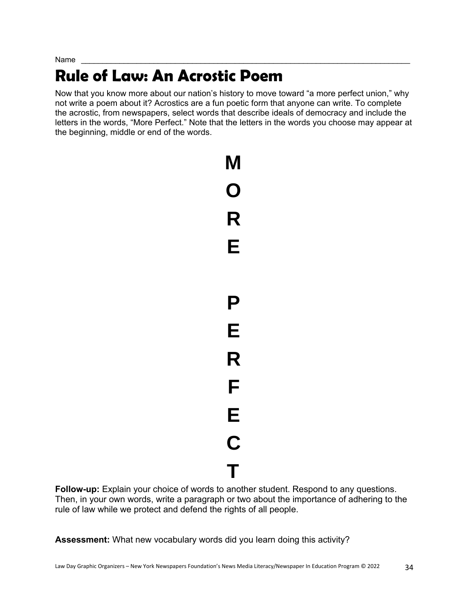Name \_\_\_\_\_\_\_\_\_\_\_\_\_\_\_\_\_\_\_\_\_\_\_\_\_\_\_\_\_\_\_\_\_\_\_\_\_\_\_\_\_\_\_\_\_\_\_\_\_\_\_\_\_\_\_\_\_\_\_\_\_\_\_\_\_\_\_\_\_\_\_\_\_\_\_\_\_

### **Rule of Law: An Acrostic Poem**

Now that you know more about our nation's history to move toward "a more perfect union," why not write a poem about it? Acrostics are a fun poetic form that anyone can write. To complete the acrostic, from newspapers, select words that describe ideals of democracy and include the letters in the words, "More Perfect." Note that the letters in the words you choose may appear at the beginning, middle or end of the words.



**Follow-up:** Explain your choice of words to another student. Respond to any questions. Then, in your own words, write a paragraph or two about the importance of adhering to the rule of law while we protect and defend the rights of all people.

**Assessment:** What new vocabulary words did you learn doing this activity?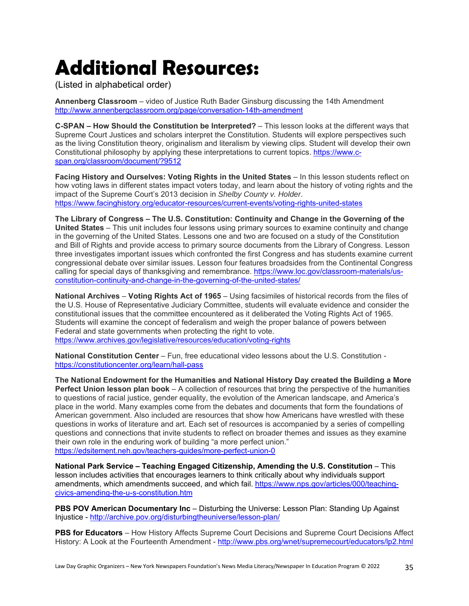# **Additional Resources:**

(Listed in alphabetical order)

**Annenberg Classroom** – video of Justice Ruth Bader Ginsburg discussing the 14th Amendment http://www.annenbergclassroom.org/page/conversation-14th-amendment

**C-SPAN – How Should the Constitution be Interpreted?** – This lesson looks at the different ways that Supreme Court Justices and scholars interpret the Constitution. Students will explore perspectives such as the living Constitution theory, originalism and literalism by viewing clips. Student will develop their own Constitutional philosophy by applying these interpretations to current topics. https://www.cspan.org/classroom/document/?9512

**Facing History and Ourselves: Voting Rights in the United States** – In this lesson students reflect on how voting laws in different states impact voters today, and learn about the history of voting rights and the impact of the Supreme Court's 2013 decision in *Shelby County v. Holder*. https://www.facinghistory.org/educator-resources/current-events/voting-rights-united-states

**The Library of Congress – The U.S. Constitution: Continuity and Change in the Governing of the United States** – This unit includes four lessons using primary sources to examine continuity and change in the governing of the United States. Lessons one and two are focused on a study of the Constitution and Bill of Rights and provide access to primary source documents from the Library of Congress. Lesson three investigates important issues which confronted the first Congress and has students examine current congressional debate over similar issues. Lesson four features broadsides from the Continental Congress calling for special days of thanksgiving and remembrance. https://www.loc.gov/classroom-materials/usconstitution-continuity-and-change-in-the-governing-of-the-united-states/

**National Archives** – **Voting Rights Act of 1965** – Using facsimiles of historical records from the files of the U.S. House of Representative Judiciary Committee, students will evaluate evidence and consider the constitutional issues that the committee encountered as it deliberated the Voting Rights Act of 1965. Students will examine the concept of federalism and weigh the proper balance of powers between Federal and state governments when protecting the right to vote. https://www.archives.gov/legislative/resources/education/voting-rights

**National Constitution Center** – Fun, free educational video lessons about the U.S. Constitution https://constitutioncenter.org/learn/hall-pass

**The National Endowment for the Humanities and National History Day created the Building a More Perfect Union lesson plan book** – A collection of resources that bring the perspective of the humanities to questions of racial justice, gender equality, the evolution of the American landscape, and America's place in the world. Many examples come from the debates and documents that form the foundations of American government. Also included are resources that show how Americans have wrestled with these questions in works of literature and art. Each set of resources is accompanied by a series of compelling questions and connections that invite students to reflect on broader themes and issues as they examine their own role in the enduring work of building "a more perfect union." https://edsitement.neh.gov/teachers-guides/more-perfect-union-0

**National Park Service – Teaching Engaged Citizenship, Amending the U.S. Constitution – This** lesson includes activities that encourages learners to think critically about why individuals support amendments, which amendments succeed, and which fail. https://www.nps.gov/articles/000/teachingcivics-amending-the-u-s-constitution.htm

**PBS POV American Documentary Inc** – Disturbing the Universe: Lesson Plan: Standing Up Against Injustice - http://archive.pov.org/disturbingtheuniverse/lesson-plan/

**PBS for Educators** – How History Affects Supreme Court Decisions and Supreme Court Decisions Affect History: A Look at the Fourteenth Amendment - http://www.pbs.org/wnet/supremecourt/educators/lp2.html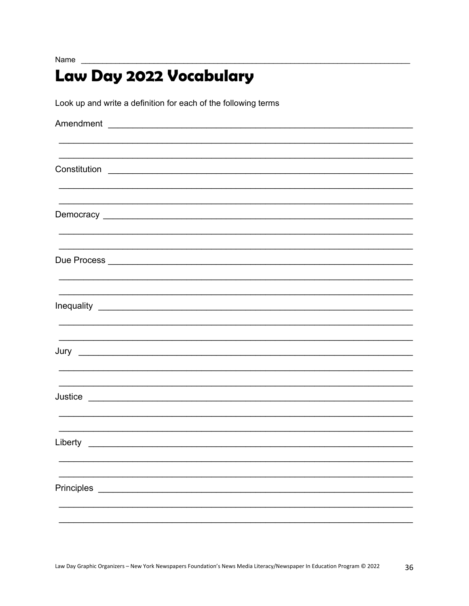#### Name

# Law Day 2022 Vocabulary

Look up and write a definition for each of the following terms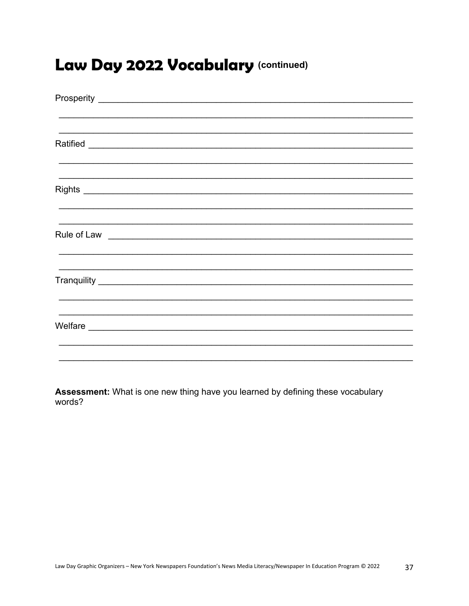### Law Day 2022 Vocabulary (continued)

Assessment: What is one new thing have you learned by defining these vocabulary words?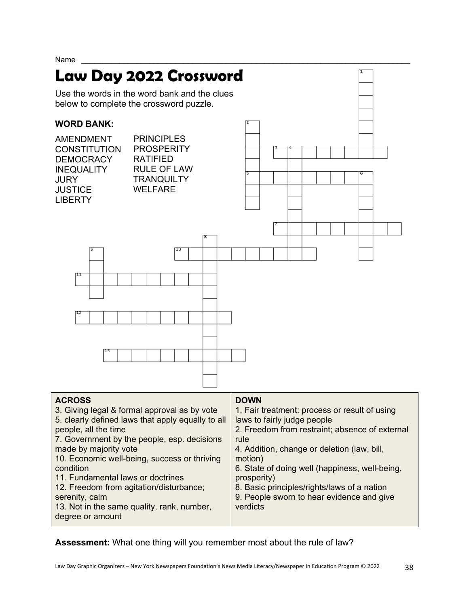

**Assessment:** What one thing will you remember most about the rule of law?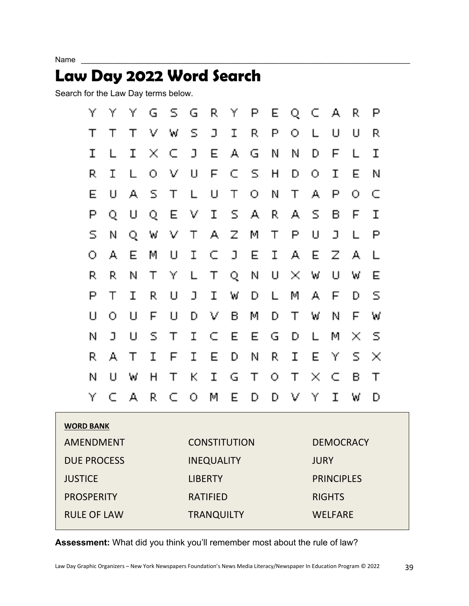Name \_\_\_\_\_\_\_\_\_\_\_\_\_\_\_\_\_\_\_\_\_\_\_\_\_\_\_\_\_\_\_\_\_\_\_\_\_\_\_\_\_\_\_\_\_\_\_\_\_\_\_\_\_\_\_\_\_\_\_\_\_\_\_\_\_\_\_\_\_\_\_\_\_\_\_\_\_

### **Law Day 2022 Word Search**

Search for the Law Day terms below.

|                                         | Υ | Υ | Υ | G | s                 | G              | R                 | Υ | Ρ | Ε                | Q                 |             | А | R | Ρ |  |
|-----------------------------------------|---|---|---|---|-------------------|----------------|-------------------|---|---|------------------|-------------------|-------------|---|---|---|--|
|                                         | Т | Т | Т | ν | W                 | s              | J                 | Ι | R | Ρ                | ο                 |             | U | U | R |  |
|                                         | Ι |   | Ι | × | c                 | J              | Ε                 | А | G | Ν                | Ν                 | D           | F | L | Ι |  |
|                                         | R | Ι | L | ο | ν                 | U              | F                 | C | s | Н                | D                 | Ο           | Ι | Е | Ν |  |
|                                         | Ε | U | А | s | Т                 | L              | U                 | Т | ο | Ν                | Т                 | А           | Ρ | ο | C |  |
|                                         | Ρ | Q | U | Q | Ε                 | ν              | Ι                 | s | А | R                | А                 | s           | в | F | Ι |  |
|                                         | s | Ν | Q | W | ν                 | Т              | А                 | z | м | Т                | Ρ                 | U           | J |   | Ρ |  |
|                                         | о | А | Е | м | U                 | Ι              | C                 | J | Ε | Ι                | А                 | Ε           | z | А | L |  |
|                                         | R | R | Ν | Т | Υ                 | L              | Т                 | Q | Ν | U                | ×                 | W           | U | w | Ε |  |
|                                         | Ρ | Т | Ι | R | U                 | J              | Ι                 | W | D | L                | м                 | А           | F | D | s |  |
|                                         | U | Ο | U | F | U                 | D              | ν                 | в | Μ | D                | Т                 | W           | Ν | F | W |  |
|                                         | Ν | J | U | s | Т                 | Ι              | c                 | Е | Е | G                | D                 | L           | м | × | s |  |
|                                         | R | А | Τ | Ι | F                 | Ι              | Ε                 | D | Ν | R                | Ι                 | Ε           | Υ | s | × |  |
|                                         | Ν | U | W | н | Т                 | к              | Ι                 | G | Т | о                | Т                 | ×           | C | в | Т |  |
|                                         | Υ | С | А | R |                   | ο              | м                 | Е | D | D                | ν                 | Υ           | I | W | D |  |
| <b>WORD BANK</b>                        |   |   |   |   |                   |                |                   |   |   |                  |                   |             |   |   |   |  |
| <b>CONSTITUTION</b><br><b>AMENDMENT</b> |   |   |   |   |                   |                |                   |   |   | <b>DEMOCRACY</b> |                   |             |   |   |   |  |
| <b>DUE PROCESS</b>                      |   |   |   |   |                   |                | <b>INEQUALITY</b> |   |   |                  |                   | <b>JURY</b> |   |   |   |  |
| <b>JUSTICE</b>                          |   |   |   |   |                   | <b>LIBERTY</b> |                   |   |   |                  | <b>PRINCIPLES</b> |             |   |   |   |  |
| <b>RATIFIED</b><br><b>PROSPERITY</b>    |   |   |   |   |                   |                |                   |   |   | <b>RIGHTS</b>    |                   |             |   |   |   |  |
| <b>RULE OF LAW</b>                      |   |   |   |   | <b>TRANQUILTY</b> |                |                   |   |   |                  | <b>WELFARE</b>    |             |   |   |   |  |

**Assessment:** What did you think you'll remember most about the rule of law?